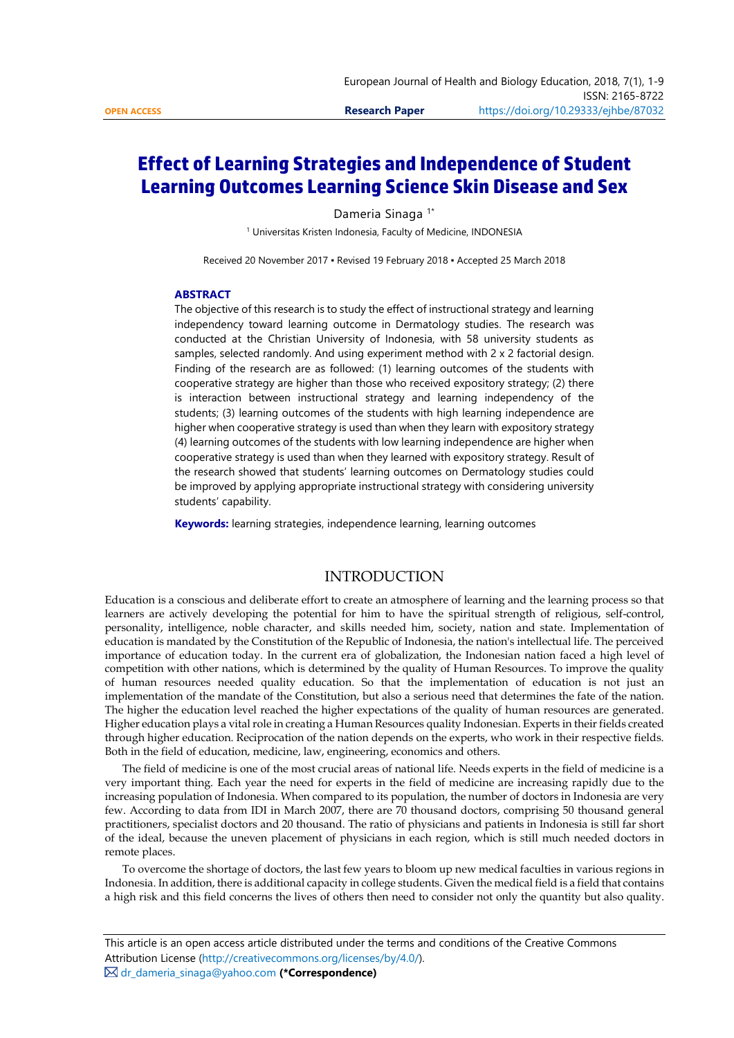# **Effect of Learning Strategies and Independence of Student Learning Outcomes Learning Science Skin Disease and Sex**

Dameria Sinaga<sup>1\*</sup>

<sup>1</sup> Universitas Kristen Indonesia, Faculty of Medicine, INDONESIA

Received 20 November 2017 ▪ Revised 19 February 2018 ▪ Accepted 25 March 2018

#### **ABSTRACT**

The objective of this research is to study the effect of instructional strategy and learning independency toward learning outcome in Dermatology studies. The research was conducted at the Christian University of Indonesia, with 58 university students as samples, selected randomly. And using experiment method with 2 x 2 factorial design. Finding of the research are as followed: (1) learning outcomes of the students with cooperative strategy are higher than those who received expository strategy; (2) there is interaction between instructional strategy and learning independency of the students; (3) learning outcomes of the students with high learning independence are higher when cooperative strategy is used than when they learn with expository strategy (4) learning outcomes of the students with low learning independence are higher when cooperative strategy is used than when they learned with expository strategy. Result of the research showed that students' learning outcomes on Dermatology studies could be improved by applying appropriate instructional strategy with considering university students' capability.

**Keywords:** learning strategies, independence learning, learning outcomes

# INTRODUCTION

Education is a conscious and deliberate effort to create an atmosphere of learning and the learning process so that learners are actively developing the potential for him to have the spiritual strength of religious, self-control, personality, intelligence, noble character, and skills needed him, society, nation and state. Implementation of education is mandated by the Constitution of the Republic of Indonesia, the nation's intellectual life. The perceived importance of education today. In the current era of globalization, the Indonesian nation faced a high level of competition with other nations, which is determined by the quality of Human Resources. To improve the quality of human resources needed quality education. So that the implementation of education is not just an implementation of the mandate of the Constitution, but also a serious need that determines the fate of the nation. The higher the education level reached the higher expectations of the quality of human resources are generated. Higher education plays a vital role in creating a Human Resources quality Indonesian. Experts in their fields created through higher education. Reciprocation of the nation depends on the experts, who work in their respective fields. Both in the field of education, medicine, law, engineering, economics and others.

The field of medicine is one of the most crucial areas of national life. Needs experts in the field of medicine is a very important thing. Each year the need for experts in the field of medicine are increasing rapidly due to the increasing population of Indonesia. When compared to its population, the number of doctors in Indonesia are very few. According to data from IDI in March 2007, there are 70 thousand doctors, comprising 50 thousand general practitioners, specialist doctors and 20 thousand. The ratio of physicians and patients in Indonesia is still far short of the ideal, because the uneven placement of physicians in each region, which is still much needed doctors in remote places.

To overcome the shortage of doctors, the last few years to bloom up new medical faculties in various regions in Indonesia. In addition, there is additional capacity in college students. Given the medical field is a field that contains a high risk and this field concerns the lives of others then need to consider not only the quantity but also quality.

[dr\\_dameria\\_sinaga@yahoo.com](mailto:dr_dameria_sinaga@yahoo.com) **(\*Correspondence)**

This article is an open access article distributed under the terms and conditions of the Creative Commons Attribution License [\(http://creativecommons.org/licenses/by/4.0/\).](http://creativecommons.org/licenses/by/4.0/)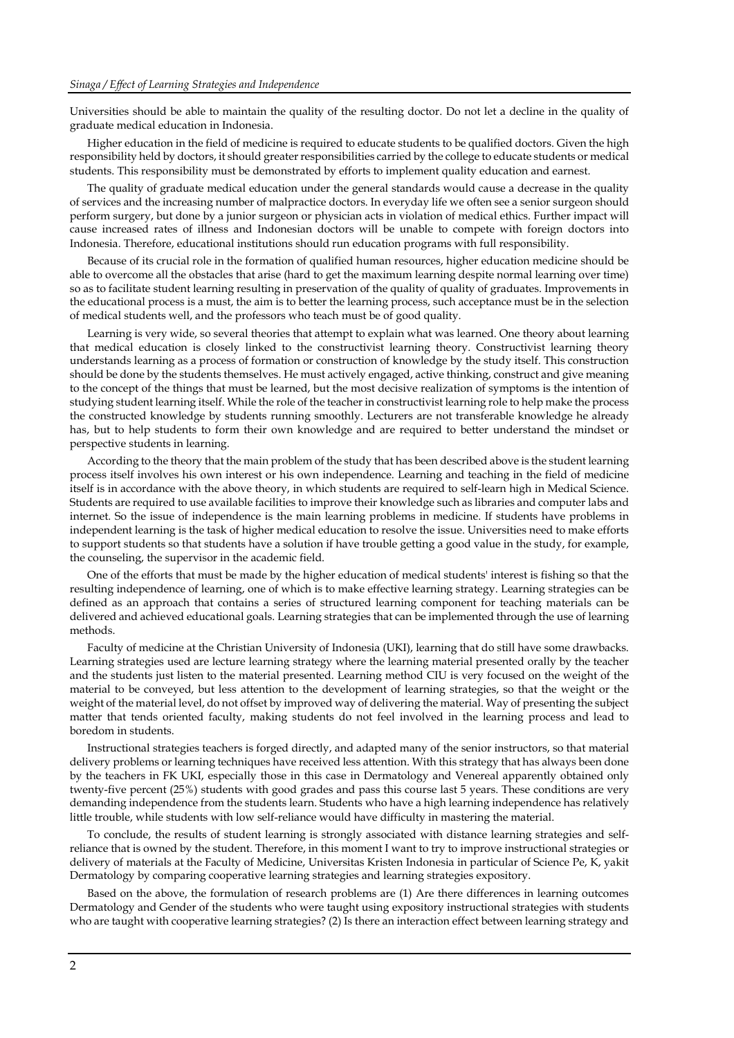Universities should be able to maintain the quality of the resulting doctor. Do not let a decline in the quality of graduate medical education in Indonesia.

Higher education in the field of medicine is required to educate students to be qualified doctors. Given the high responsibility held by doctors, it should greater responsibilities carried by the college to educate students or medical students. This responsibility must be demonstrated by efforts to implement quality education and earnest.

The quality of graduate medical education under the general standards would cause a decrease in the quality of services and the increasing number of malpractice doctors. In everyday life we often see a senior surgeon should perform surgery, but done by a junior surgeon or physician acts in violation of medical ethics. Further impact will cause increased rates of illness and Indonesian doctors will be unable to compete with foreign doctors into Indonesia. Therefore, educational institutions should run education programs with full responsibility.

Because of its crucial role in the formation of qualified human resources, higher education medicine should be able to overcome all the obstacles that arise (hard to get the maximum learning despite normal learning over time) so as to facilitate student learning resulting in preservation of the quality of quality of graduates. Improvements in the educational process is a must, the aim is to better the learning process, such acceptance must be in the selection of medical students well, and the professors who teach must be of good quality.

Learning is very wide, so several theories that attempt to explain what was learned. One theory about learning that medical education is closely linked to the constructivist learning theory. Constructivist learning theory understands learning as a process of formation or construction of knowledge by the study itself. This construction should be done by the students themselves. He must actively engaged, active thinking, construct and give meaning to the concept of the things that must be learned, but the most decisive realization of symptoms is the intention of studying student learning itself. While the role of the teacher in constructivist learning role to help make the process the constructed knowledge by students running smoothly. Lecturers are not transferable knowledge he already has, but to help students to form their own knowledge and are required to better understand the mindset or perspective students in learning.

According to the theory that the main problem of the study that has been described above is the student learning process itself involves his own interest or his own independence. Learning and teaching in the field of medicine itself is in accordance with the above theory, in which students are required to self-learn high in Medical Science. Students are required to use available facilities to improve their knowledge such as libraries and computer labs and internet. So the issue of independence is the main learning problems in medicine. If students have problems in independent learning is the task of higher medical education to resolve the issue. Universities need to make efforts to support students so that students have a solution if have trouble getting a good value in the study, for example, the counseling, the supervisor in the academic field.

One of the efforts that must be made by the higher education of medical students' interest is fishing so that the resulting independence of learning, one of which is to make effective learning strategy. Learning strategies can be defined as an approach that contains a series of structured learning component for teaching materials can be delivered and achieved educational goals. Learning strategies that can be implemented through the use of learning methods.

Faculty of medicine at the Christian University of Indonesia (UKI), learning that do still have some drawbacks. Learning strategies used are lecture learning strategy where the learning material presented orally by the teacher and the students just listen to the material presented. Learning method CIU is very focused on the weight of the material to be conveyed, but less attention to the development of learning strategies, so that the weight or the weight of the material level, do not offset by improved way of delivering the material. Way of presenting the subject matter that tends oriented faculty, making students do not feel involved in the learning process and lead to boredom in students.

Instructional strategies teachers is forged directly, and adapted many of the senior instructors, so that material delivery problems or learning techniques have received less attention. With this strategy that has always been done by the teachers in FK UKI, especially those in this case in Dermatology and Venereal apparently obtained only twenty-five percent (25%) students with good grades and pass this course last 5 years. These conditions are very demanding independence from the students learn. Students who have a high learning independence has relatively little trouble, while students with low self-reliance would have difficulty in mastering the material.

To conclude, the results of student learning is strongly associated with distance learning strategies and selfreliance that is owned by the student. Therefore, in this moment I want to try to improve instructional strategies or delivery of materials at the Faculty of Medicine, Universitas Kristen Indonesia in particular of Science Pe, K, yakit Dermatology by comparing cooperative learning strategies and learning strategies expository.

Based on the above, the formulation of research problems are (1) Are there differences in learning outcomes Dermatology and Gender of the students who were taught using expository instructional strategies with students who are taught with cooperative learning strategies? (2) Is there an interaction effect between learning strategy and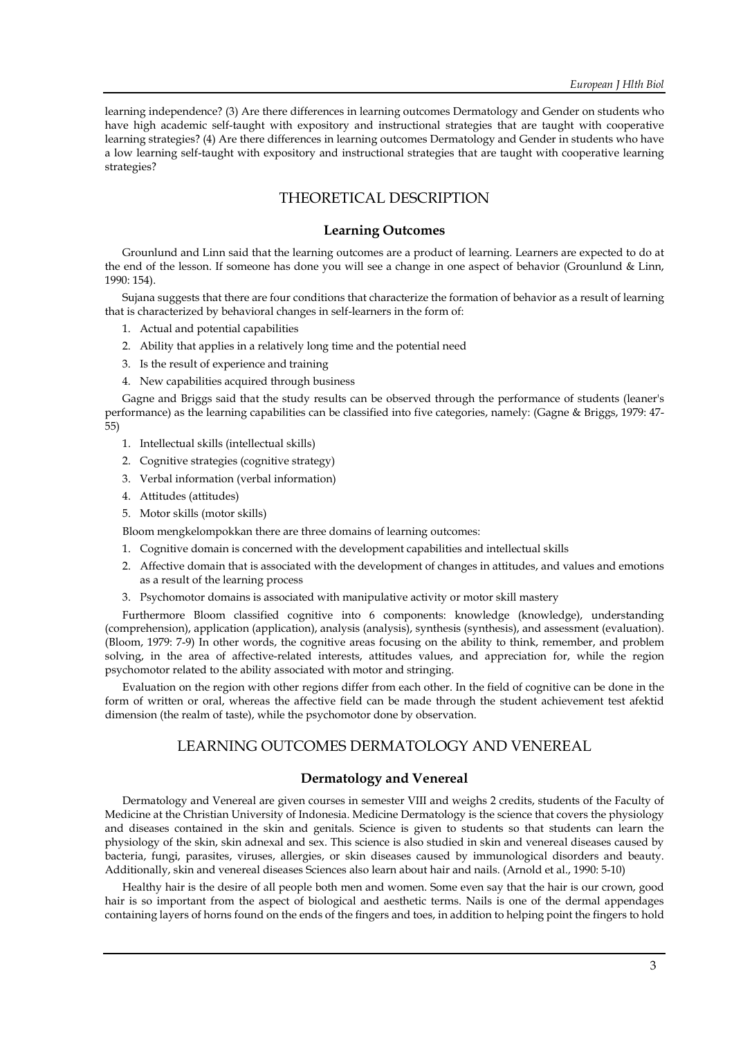learning independence? (3) Are there differences in learning outcomes Dermatology and Gender on students who have high academic self-taught with expository and instructional strategies that are taught with cooperative learning strategies? (4) Are there differences in learning outcomes Dermatology and Gender in students who have a low learning self-taught with expository and instructional strategies that are taught with cooperative learning strategies?

# THEORETICAL DESCRIPTION

#### **Learning Outcomes**

Grounlund and Linn said that the learning outcomes are a product of learning. Learners are expected to do at the end of the lesson. If someone has done you will see a change in one aspect of behavior (Grounlund & Linn, 1990: 154).

Sujana suggests that there are four conditions that characterize the formation of behavior as a result of learning that is characterized by behavioral changes in self-learners in the form of:

- 1. Actual and potential capabilities
- 2. Ability that applies in a relatively long time and the potential need
- 3. Is the result of experience and training
- 4. New capabilities acquired through business

Gagne and Briggs said that the study results can be observed through the performance of students (leaner's performance) as the learning capabilities can be classified into five categories, namely: (Gagne & Briggs, 1979: 47- 55)

- 1. Intellectual skills (intellectual skills)
- 2. Cognitive strategies (cognitive strategy)
- 3. Verbal information (verbal information)
- 4. Attitudes (attitudes)
- 5. Motor skills (motor skills)

Bloom mengkelompokkan there are three domains of learning outcomes:

- 1. Cognitive domain is concerned with the development capabilities and intellectual skills
- 2. Affective domain that is associated with the development of changes in attitudes, and values and emotions as a result of the learning process
- 3. Psychomotor domains is associated with manipulative activity or motor skill mastery

Furthermore Bloom classified cognitive into 6 components: knowledge (knowledge), understanding (comprehension), application (application), analysis (analysis), synthesis (synthesis), and assessment (evaluation). (Bloom, 1979: 7-9) In other words, the cognitive areas focusing on the ability to think, remember, and problem solving, in the area of affective-related interests, attitudes values, and appreciation for, while the region psychomotor related to the ability associated with motor and stringing.

Evaluation on the region with other regions differ from each other. In the field of cognitive can be done in the form of written or oral, whereas the affective field can be made through the student achievement test afektid dimension (the realm of taste), while the psychomotor done by observation.

# LEARNING OUTCOMES DERMATOLOGY AND VENEREAL

#### **Dermatology and Venereal**

Dermatology and Venereal are given courses in semester VIII and weighs 2 credits, students of the Faculty of Medicine at the Christian University of Indonesia. Medicine Dermatology is the science that covers the physiology and diseases contained in the skin and genitals. Science is given to students so that students can learn the physiology of the skin, skin adnexal and sex. This science is also studied in skin and venereal diseases caused by bacteria, fungi, parasites, viruses, allergies, or skin diseases caused by immunological disorders and beauty. Additionally, skin and venereal diseases Sciences also learn about hair and nails. (Arnold et al., 1990: 5-10)

Healthy hair is the desire of all people both men and women. Some even say that the hair is our crown, good hair is so important from the aspect of biological and aesthetic terms. Nails is one of the dermal appendages containing layers of horns found on the ends of the fingers and toes, in addition to helping point the fingers to hold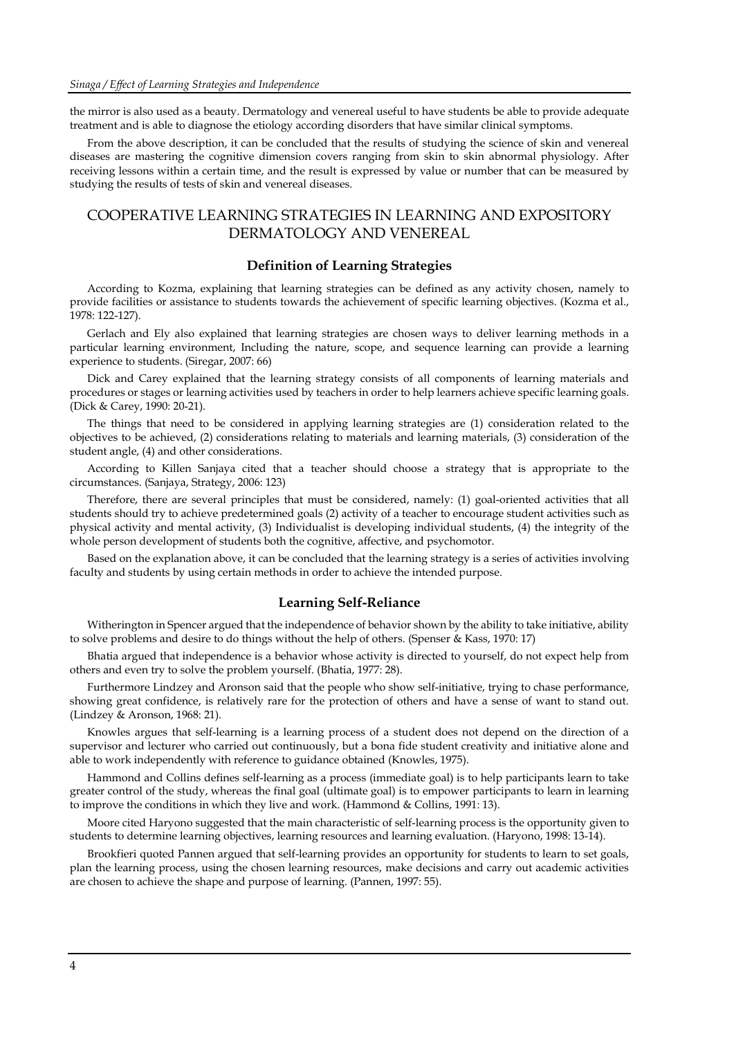the mirror is also used as a beauty. Dermatology and venereal useful to have students be able to provide adequate treatment and is able to diagnose the etiology according disorders that have similar clinical symptoms.

From the above description, it can be concluded that the results of studying the science of skin and venereal diseases are mastering the cognitive dimension covers ranging from skin to skin abnormal physiology. After receiving lessons within a certain time, and the result is expressed by value or number that can be measured by studying the results of tests of skin and venereal diseases.

# COOPERATIVE LEARNING STRATEGIES IN LEARNING AND EXPOSITORY DERMATOLOGY AND VENEREAL

#### **Definition of Learning Strategies**

According to Kozma, explaining that learning strategies can be defined as any activity chosen, namely to provide facilities or assistance to students towards the achievement of specific learning objectives. (Kozma et al., 1978: 122-127).

Gerlach and Ely also explained that learning strategies are chosen ways to deliver learning methods in a particular learning environment, Including the nature, scope, and sequence learning can provide a learning experience to students. (Siregar, 2007: 66)

Dick and Carey explained that the learning strategy consists of all components of learning materials and procedures or stages or learning activities used by teachers in order to help learners achieve specific learning goals. (Dick & Carey, 1990: 20-21).

The things that need to be considered in applying learning strategies are (1) consideration related to the objectives to be achieved, (2) considerations relating to materials and learning materials, (3) consideration of the student angle, (4) and other considerations.

According to Killen Sanjaya cited that a teacher should choose a strategy that is appropriate to the circumstances. (Sanjaya, Strategy, 2006: 123)

Therefore, there are several principles that must be considered, namely: (1) goal-oriented activities that all students should try to achieve predetermined goals (2) activity of a teacher to encourage student activities such as physical activity and mental activity, (3) Individualist is developing individual students, (4) the integrity of the whole person development of students both the cognitive, affective, and psychomotor.

Based on the explanation above, it can be concluded that the learning strategy is a series of activities involving faculty and students by using certain methods in order to achieve the intended purpose.

#### **Learning Self-Reliance**

Witherington in Spencer argued that the independence of behavior shown by the ability to take initiative, ability to solve problems and desire to do things without the help of others. (Spenser & Kass, 1970: 17)

Bhatia argued that independence is a behavior whose activity is directed to yourself, do not expect help from others and even try to solve the problem yourself. (Bhatia, 1977: 28).

Furthermore Lindzey and Aronson said that the people who show self-initiative, trying to chase performance, showing great confidence, is relatively rare for the protection of others and have a sense of want to stand out. (Lindzey & Aronson, 1968: 21).

Knowles argues that self-learning is a learning process of a student does not depend on the direction of a supervisor and lecturer who carried out continuously, but a bona fide student creativity and initiative alone and able to work independently with reference to guidance obtained (Knowles, 1975).

Hammond and Collins defines self-learning as a process (immediate goal) is to help participants learn to take greater control of the study, whereas the final goal (ultimate goal) is to empower participants to learn in learning to improve the conditions in which they live and work. (Hammond & Collins, 1991: 13).

Moore cited Haryono suggested that the main characteristic of self-learning process is the opportunity given to students to determine learning objectives, learning resources and learning evaluation. (Haryono, 1998: 13-14).

Brookfieri quoted Pannen argued that self-learning provides an opportunity for students to learn to set goals, plan the learning process, using the chosen learning resources, make decisions and carry out academic activities are chosen to achieve the shape and purpose of learning. (Pannen, 1997: 55).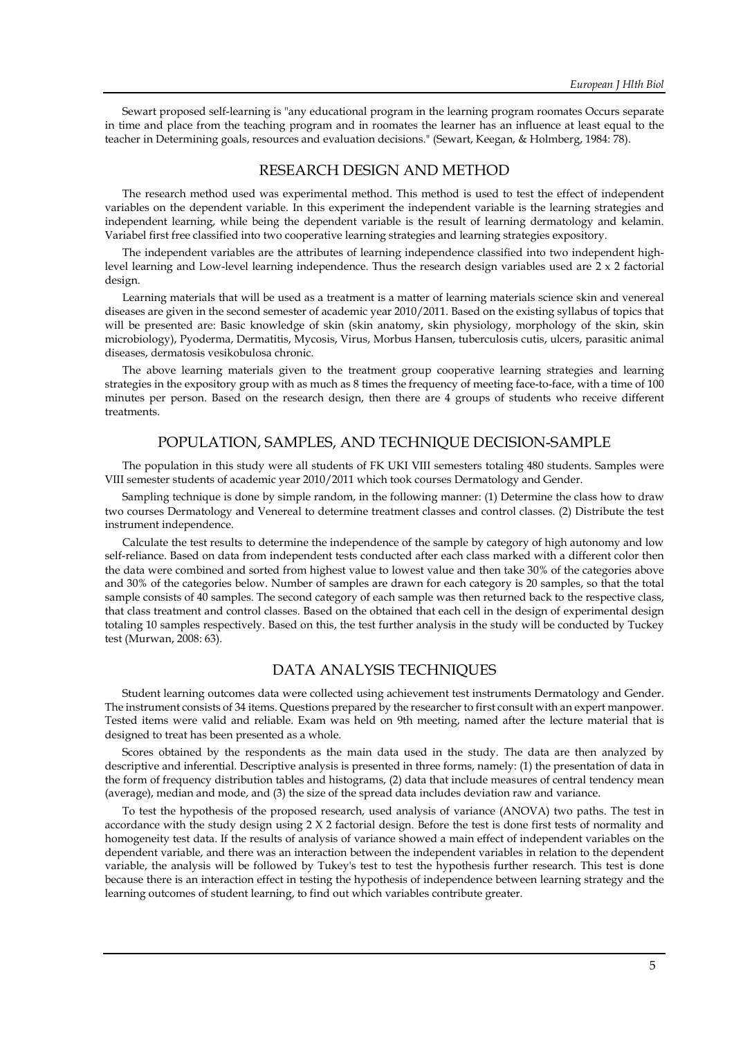Sewart proposed self-learning is "any educational program in the learning program roomates Occurs separate in time and place from the teaching program and in roomates the learner has an influence at least equal to the teacher in Determining goals, resources and evaluation decisions." (Sewart, Keegan, & Holmberg, 1984: 78).

# RESEARCH DESIGN AND METHOD

The research method used was experimental method. This method is used to test the effect of independent variables on the dependent variable. In this experiment the independent variable is the learning strategies and independent learning, while being the dependent variable is the result of learning dermatology and kelamin. Variabel first free classified into two cooperative learning strategies and learning strategies expository.

The independent variables are the attributes of learning independence classified into two independent highlevel learning and Low-level learning independence. Thus the research design variables used are 2 x 2 factorial design.

Learning materials that will be used as a treatment is a matter of learning materials science skin and venereal diseases are given in the second semester of academic year 2010/2011. Based on the existing syllabus of topics that will be presented are: Basic knowledge of skin (skin anatomy, skin physiology, morphology of the skin, skin microbiology), Pyoderma, Dermatitis, Mycosis, Virus, Morbus Hansen, tuberculosis cutis, ulcers, parasitic animal diseases, dermatosis vesikobulosa chronic.

The above learning materials given to the treatment group cooperative learning strategies and learning strategies in the expository group with as much as 8 times the frequency of meeting face-to-face, with a time of 100 minutes per person. Based on the research design, then there are 4 groups of students who receive different treatments.

#### POPULATION, SAMPLES, AND TECHNIQUE DECISION-SAMPLE

The population in this study were all students of FK UKI VIII semesters totaling 480 students. Samples were VIII semester students of academic year 2010/2011 which took courses Dermatology and Gender.

Sampling technique is done by simple random, in the following manner: (1) Determine the class how to draw two courses Dermatology and Venereal to determine treatment classes and control classes. (2) Distribute the test instrument independence.

Calculate the test results to determine the independence of the sample by category of high autonomy and low self-reliance. Based on data from independent tests conducted after each class marked with a different color then the data were combined and sorted from highest value to lowest value and then take 30% of the categories above and 30% of the categories below. Number of samples are drawn for each category is 20 samples, so that the total sample consists of 40 samples. The second category of each sample was then returned back to the respective class, that class treatment and control classes. Based on the obtained that each cell in the design of experimental design totaling 10 samples respectively. Based on this, the test further analysis in the study will be conducted by Tuckey test (Murwan, 2008: 63).

#### DATA ANALYSIS TECHNIQUES

Student learning outcomes data were collected using achievement test instruments Dermatology and Gender. The instrument consists of 34 items. Questions prepared by the researcher to first consult with an expert manpower. Tested items were valid and reliable. Exam was held on 9th meeting, named after the lecture material that is designed to treat has been presented as a whole.

Scores obtained by the respondents as the main data used in the study. The data are then analyzed by descriptive and inferential. Descriptive analysis is presented in three forms, namely: (1) the presentation of data in the form of frequency distribution tables and histograms, (2) data that include measures of central tendency mean (average), median and mode, and (3) the size of the spread data includes deviation raw and variance.

To test the hypothesis of the proposed research, used analysis of variance (ANOVA) two paths. The test in accordance with the study design using 2 X 2 factorial design. Before the test is done first tests of normality and homogeneity test data. If the results of analysis of variance showed a main effect of independent variables on the dependent variable, and there was an interaction between the independent variables in relation to the dependent variable, the analysis will be followed by Tukey's test to test the hypothesis further research. This test is done because there is an interaction effect in testing the hypothesis of independence between learning strategy and the learning outcomes of student learning, to find out which variables contribute greater.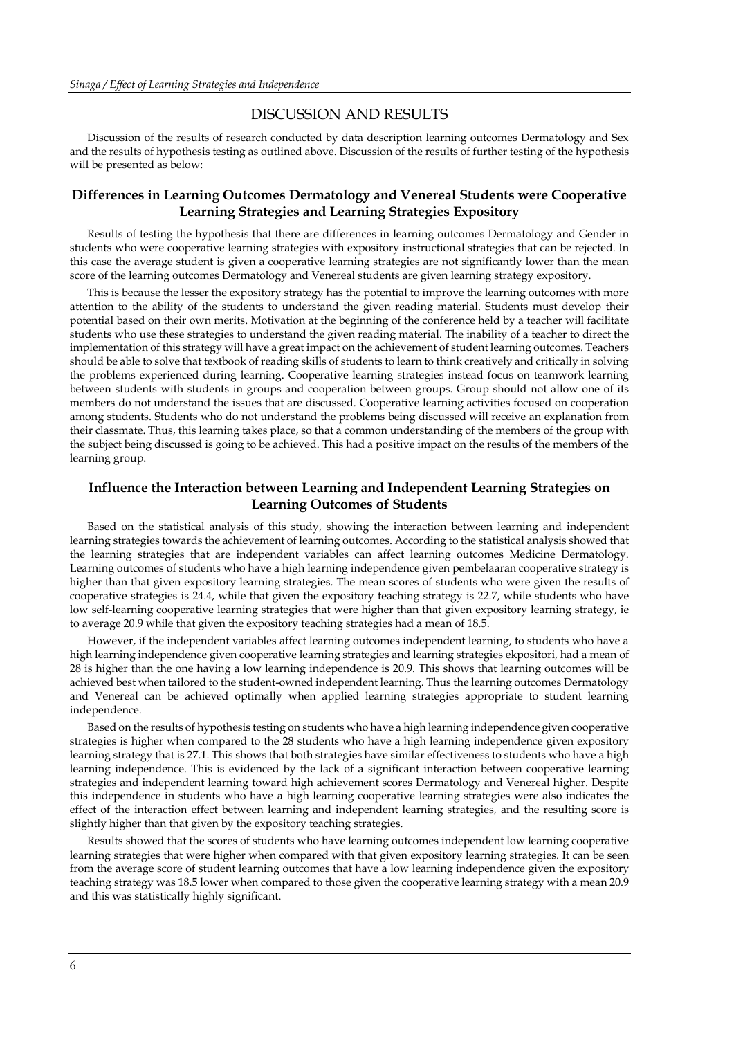#### DISCUSSION AND RESULTS

Discussion of the results of research conducted by data description learning outcomes Dermatology and Sex and the results of hypothesis testing as outlined above. Discussion of the results of further testing of the hypothesis will be presented as below:

#### **Differences in Learning Outcomes Dermatology and Venereal Students were Cooperative Learning Strategies and Learning Strategies Expository**

Results of testing the hypothesis that there are differences in learning outcomes Dermatology and Gender in students who were cooperative learning strategies with expository instructional strategies that can be rejected. In this case the average student is given a cooperative learning strategies are not significantly lower than the mean score of the learning outcomes Dermatology and Venereal students are given learning strategy expository.

This is because the lesser the expository strategy has the potential to improve the learning outcomes with more attention to the ability of the students to understand the given reading material. Students must develop their potential based on their own merits. Motivation at the beginning of the conference held by a teacher will facilitate students who use these strategies to understand the given reading material. The inability of a teacher to direct the implementation of this strategy will have a great impact on the achievement of student learning outcomes. Teachers should be able to solve that textbook of reading skills of students to learn to think creatively and critically in solving the problems experienced during learning. Cooperative learning strategies instead focus on teamwork learning between students with students in groups and cooperation between groups. Group should not allow one of its members do not understand the issues that are discussed. Cooperative learning activities focused on cooperation among students. Students who do not understand the problems being discussed will receive an explanation from their classmate. Thus, this learning takes place, so that a common understanding of the members of the group with the subject being discussed is going to be achieved. This had a positive impact on the results of the members of the learning group.

#### **Influence the Interaction between Learning and Independent Learning Strategies on Learning Outcomes of Students**

Based on the statistical analysis of this study, showing the interaction between learning and independent learning strategies towards the achievement of learning outcomes. According to the statistical analysis showed that the learning strategies that are independent variables can affect learning outcomes Medicine Dermatology. Learning outcomes of students who have a high learning independence given pembelaaran cooperative strategy is higher than that given expository learning strategies. The mean scores of students who were given the results of cooperative strategies is 24.4, while that given the expository teaching strategy is 22.7, while students who have low self-learning cooperative learning strategies that were higher than that given expository learning strategy, ie to average 20.9 while that given the expository teaching strategies had a mean of 18.5.

However, if the independent variables affect learning outcomes independent learning, to students who have a high learning independence given cooperative learning strategies and learning strategies ekpositori, had a mean of 28 is higher than the one having a low learning independence is 20.9. This shows that learning outcomes will be achieved best when tailored to the student-owned independent learning. Thus the learning outcomes Dermatology and Venereal can be achieved optimally when applied learning strategies appropriate to student learning independence.

Based on the results of hypothesis testing on students who have a high learning independence given cooperative strategies is higher when compared to the 28 students who have a high learning independence given expository learning strategy that is 27.1. This shows that both strategies have similar effectiveness to students who have a high learning independence. This is evidenced by the lack of a significant interaction between cooperative learning strategies and independent learning toward high achievement scores Dermatology and Venereal higher. Despite this independence in students who have a high learning cooperative learning strategies were also indicates the effect of the interaction effect between learning and independent learning strategies, and the resulting score is slightly higher than that given by the expository teaching strategies.

Results showed that the scores of students who have learning outcomes independent low learning cooperative learning strategies that were higher when compared with that given expository learning strategies. It can be seen from the average score of student learning outcomes that have a low learning independence given the expository teaching strategy was 18.5 lower when compared to those given the cooperative learning strategy with a mean 20.9 and this was statistically highly significant.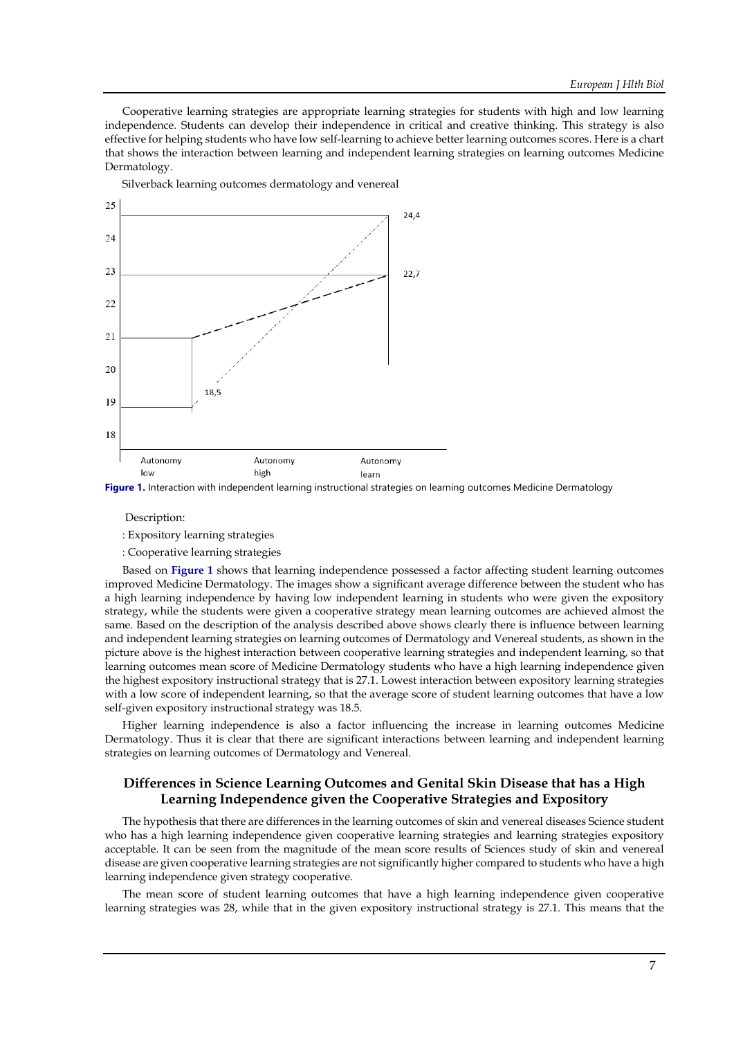Cooperative learning strategies are appropriate learning strategies for students with high and low learning independence. Students can develop their independence in critical and creative thinking. This strategy is also effective for helping students who have low self-learning to achieve better learning outcomes scores. Here is a chart that shows the interaction between learning and independent learning strategies on learning outcomes Medicine Dermatology.

Silverback learning outcomes dermatology and venereal



**Figure 1.** Interaction with independent learning instructional strategies on learning outcomes Medicine Dermatology

#### Description:

: Expository learning strategies

: Cooperative learning strategies

Based on **Figure 1** shows that learning independence possessed a factor affecting student learning outcomes improved Medicine Dermatology. The images show a significant average difference between the student who has a high learning independence by having low independent learning in students who were given the expository strategy, while the students were given a cooperative strategy mean learning outcomes are achieved almost the same. Based on the description of the analysis described above shows clearly there is influence between learning and independent learning strategies on learning outcomes of Dermatology and Venereal students, as shown in the picture above is the highest interaction between cooperative learning strategies and independent learning, so that learning outcomes mean score of Medicine Dermatology students who have a high learning independence given the highest expository instructional strategy that is 27.1. Lowest interaction between expository learning strategies with a low score of independent learning, so that the average score of student learning outcomes that have a low self-given expository instructional strategy was 18.5.

Higher learning independence is also a factor influencing the increase in learning outcomes Medicine Dermatology. Thus it is clear that there are significant interactions between learning and independent learning strategies on learning outcomes of Dermatology and Venereal.

# **Differences in Science Learning Outcomes and Genital Skin Disease that has a High Learning Independence given the Cooperative Strategies and Expository**

The hypothesis that there are differences in the learning outcomes of skin and venereal diseases Science student who has a high learning independence given cooperative learning strategies and learning strategies expository acceptable. It can be seen from the magnitude of the mean score results of Sciences study of skin and venereal disease are given cooperative learning strategies are not significantly higher compared to students who have a high learning independence given strategy cooperative.

The mean score of student learning outcomes that have a high learning independence given cooperative learning strategies was 28, while that in the given expository instructional strategy is 27.1. This means that the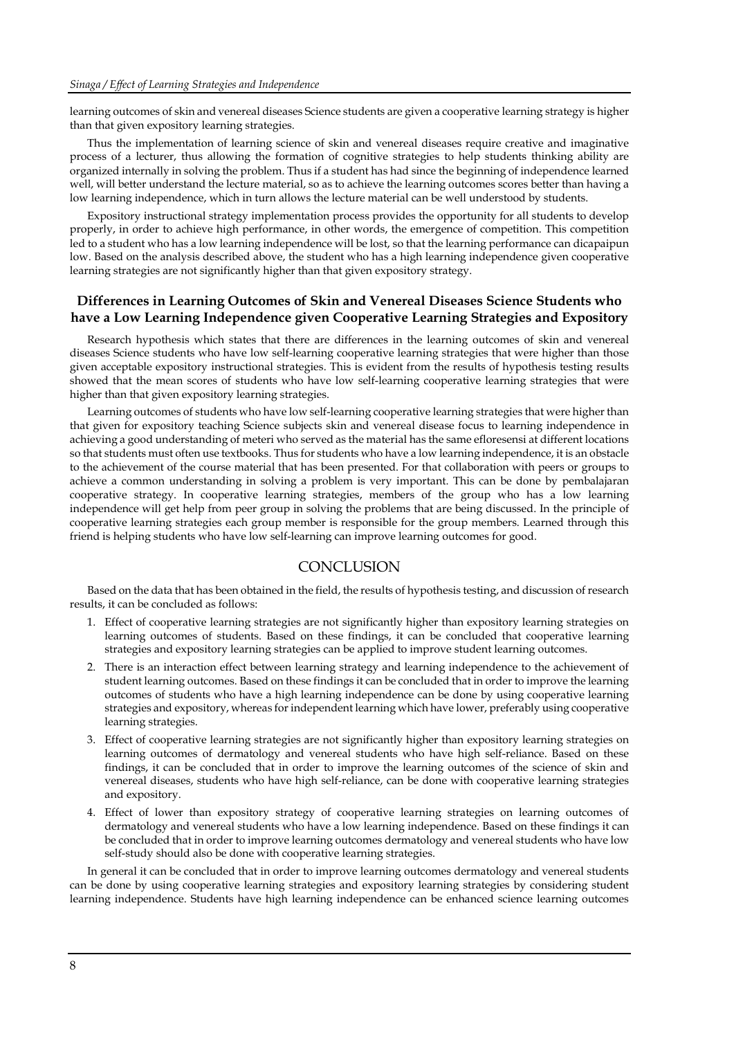learning outcomes of skin and venereal diseases Science students are given a cooperative learning strategy is higher than that given expository learning strategies.

Thus the implementation of learning science of skin and venereal diseases require creative and imaginative process of a lecturer, thus allowing the formation of cognitive strategies to help students thinking ability are organized internally in solving the problem. Thus if a student has had since the beginning of independence learned well, will better understand the lecture material, so as to achieve the learning outcomes scores better than having a low learning independence, which in turn allows the lecture material can be well understood by students.

Expository instructional strategy implementation process provides the opportunity for all students to develop properly, in order to achieve high performance, in other words, the emergence of competition. This competition led to a student who has a low learning independence will be lost, so that the learning performance can dicapaipun low. Based on the analysis described above, the student who has a high learning independence given cooperative learning strategies are not significantly higher than that given expository strategy.

#### **Differences in Learning Outcomes of Skin and Venereal Diseases Science Students who have a Low Learning Independence given Cooperative Learning Strategies and Expository**

Research hypothesis which states that there are differences in the learning outcomes of skin and venereal diseases Science students who have low self-learning cooperative learning strategies that were higher than those given acceptable expository instructional strategies. This is evident from the results of hypothesis testing results showed that the mean scores of students who have low self-learning cooperative learning strategies that were higher than that given expository learning strategies.

Learning outcomes of students who have low self-learning cooperative learning strategies that were higher than that given for expository teaching Science subjects skin and venereal disease focus to learning independence in achieving a good understanding of meteri who served as the material has the same efloresensi at different locations so that students must often use textbooks. Thus for students who have a low learning independence, it is an obstacle to the achievement of the course material that has been presented. For that collaboration with peers or groups to achieve a common understanding in solving a problem is very important. This can be done by pembalajaran cooperative strategy. In cooperative learning strategies, members of the group who has a low learning independence will get help from peer group in solving the problems that are being discussed. In the principle of cooperative learning strategies each group member is responsible for the group members. Learned through this friend is helping students who have low self-learning can improve learning outcomes for good.

#### **CONCLUSION**

Based on the data that has been obtained in the field, the results of hypothesis testing, and discussion of research results, it can be concluded as follows:

- 1. Effect of cooperative learning strategies are not significantly higher than expository learning strategies on learning outcomes of students. Based on these findings, it can be concluded that cooperative learning strategies and expository learning strategies can be applied to improve student learning outcomes.
- 2. There is an interaction effect between learning strategy and learning independence to the achievement of student learning outcomes. Based on these findings it can be concluded that in order to improve the learning outcomes of students who have a high learning independence can be done by using cooperative learning strategies and expository, whereas for independent learning which have lower, preferably using cooperative learning strategies.
- 3. Effect of cooperative learning strategies are not significantly higher than expository learning strategies on learning outcomes of dermatology and venereal students who have high self-reliance. Based on these findings, it can be concluded that in order to improve the learning outcomes of the science of skin and venereal diseases, students who have high self-reliance, can be done with cooperative learning strategies and expository.
- 4. Effect of lower than expository strategy of cooperative learning strategies on learning outcomes of dermatology and venereal students who have a low learning independence. Based on these findings it can be concluded that in order to improve learning outcomes dermatology and venereal students who have low self-study should also be done with cooperative learning strategies.

In general it can be concluded that in order to improve learning outcomes dermatology and venereal students can be done by using cooperative learning strategies and expository learning strategies by considering student learning independence. Students have high learning independence can be enhanced science learning outcomes